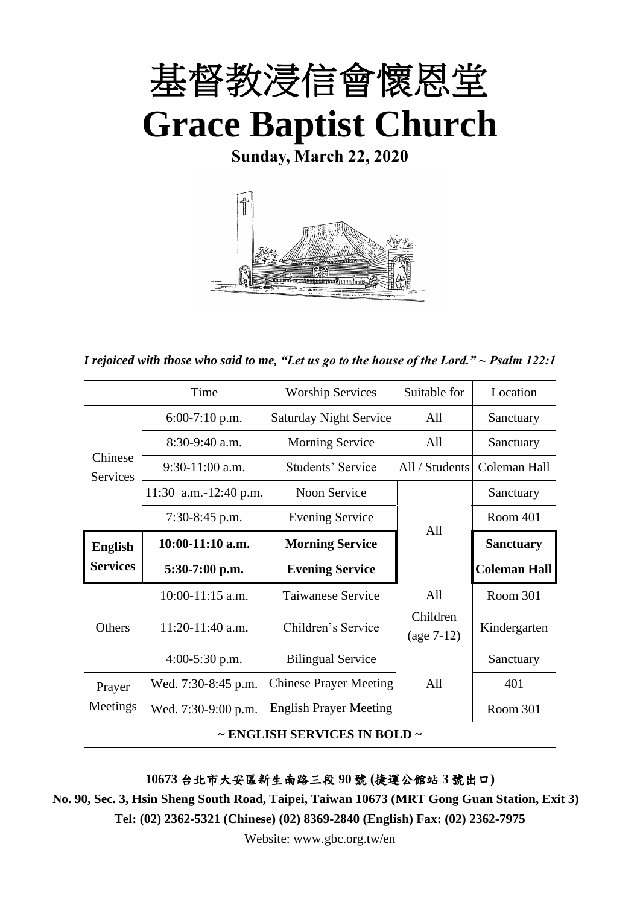

**Sunday, March 22, 2020**



*I rejoiced with those who said to me, "Let us go to the house of the Lord." ~ Psalm 122:1*

|                            | Time                  | <b>Worship Services</b>                | Suitable for   | Location            |
|----------------------------|-----------------------|----------------------------------------|----------------|---------------------|
|                            | $6:00-7:10$ p.m.      | <b>Saturday Night Service</b>          | All            | Sanctuary           |
|                            | $8:30-9:40$ a.m.      | <b>Morning Service</b>                 | All            | Sanctuary           |
| Chinese<br><b>Services</b> | $9:30-11:00$ a.m.     | Students' Service                      | All / Students | Coleman Hall        |
|                            | 11:30 a.m.-12:40 p.m. | <b>Noon Service</b>                    |                | Sanctuary           |
|                            | $7:30-8:45$ p.m.      | <b>Evening Service</b>                 | A11            | Room 401            |
| <b>English</b>             | $10:00-11:10$ a.m.    | <b>Morning Service</b>                 |                | <b>Sanctuary</b>    |
| <b>Services</b>            | $5:30-7:00$ p.m.      | <b>Evening Service</b>                 |                | <b>Coleman Hall</b> |
|                            | $10:00-11:15$ a.m.    | Taiwanese Service                      | All            | Room 301            |
| <b>Others</b>              | $11:20-11:40$ a.m.    | Children's Service                     | Children       | Kindergarten        |
|                            |                       |                                        | $(age 7-12)$   |                     |
|                            | $4:00-5:30$ p.m.      | <b>Bilingual Service</b>               |                | Sanctuary           |
| Prayer                     | Wed. 7:30-8:45 p.m.   | <b>Chinese Prayer Meeting</b>          | A11            | 401                 |
| Meetings                   | Wed. 7:30-9:00 p.m.   | <b>English Prayer Meeting</b>          |                | Room 301            |
|                            |                       | $\sim$ ENGLISH SERVICES IN BOLD $\sim$ |                |                     |

**10673** 台北市大安區新生南路三段 **90** 號 **(**捷運公館站 **3** 號出口**)**

**No. 90, Sec. 3, Hsin Sheng South Road, Taipei, Taiwan 10673 (MRT Gong Guan Station, Exit 3) Tel: (02) 2362-5321 (Chinese) (02) 8369-2840 (English) Fax: (02) 2362-7975**

Website: [www.gbc.org.tw/en](http://www.gbc.org.tw/en)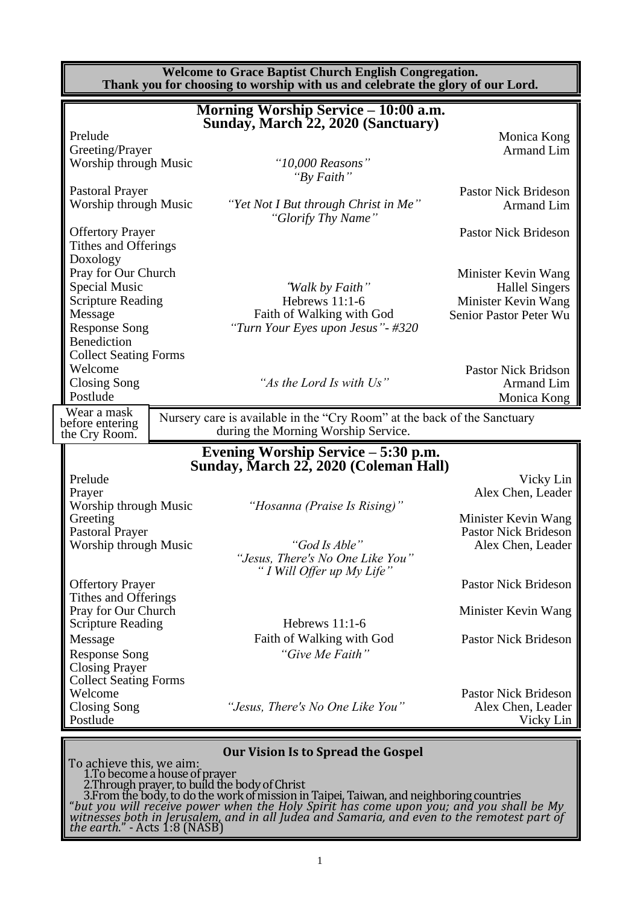|                                                                                | <b>Welcome to Grace Baptist Church English Congregation.</b><br>Thank you for choosing to worship with us and celebrate the glory of our Lord. |                                                                         |
|--------------------------------------------------------------------------------|------------------------------------------------------------------------------------------------------------------------------------------------|-------------------------------------------------------------------------|
|                                                                                | Morning Worship Service - 10:00 a.m.<br>Sunday, March 22, 2020 (Sanctuary)                                                                     |                                                                         |
| Prelude<br>Greeting/Prayer<br><b>Worship through Music</b>                     | "10,000 Reasons"<br>"By Faith"                                                                                                                 | Monica Kong<br><b>Armand Lim</b>                                        |
| <b>Pastoral Prayer</b><br>Worship through Music                                | "Yet Not I But through Christ in Me"<br>"Glorify Thy Name"                                                                                     | <b>Pastor Nick Brideson</b><br>Armand Lim                               |
| <b>Offertory Prayer</b><br>Tithes and Offerings<br>Doxology                    |                                                                                                                                                | <b>Pastor Nick Brideson</b>                                             |
| Pray for Our Church<br><b>Special Music</b><br><b>Scripture Reading</b>        | "Walk by Faith"<br>Hebrews $11:1-6$                                                                                                            | Minister Kevin Wang<br><b>Hallel Singers</b><br>Minister Kevin Wang     |
| Message<br><b>Response Song</b><br>Benediction<br><b>Collect Seating Forms</b> | Faith of Walking with God<br>"Turn Your Eyes upon Jesus" - #320                                                                                | Senior Pastor Peter Wu                                                  |
| Welcome<br><b>Closing Song</b><br>Postlude                                     | "As the Lord Is with Us"                                                                                                                       | <b>Pastor Nick Bridson</b><br>Armand Lim<br>Monica Kong                 |
| Wear a mask<br>before entering<br>the Cry Room.                                | Nursery care is available in the "Cry Room" at the back of the Sanctuary<br>during the Morning Worship Service.                                |                                                                         |
|                                                                                | Evening Worship Service - 5:30 p.m.<br>Sunday, March 22, 2020 (Coleman Hall)                                                                   |                                                                         |
| Prelude<br>Prayer<br>Worship through Music                                     | "Hosanna (Praise Is Rising)"                                                                                                                   | Vicky Lin<br>Alex Chen, Leader                                          |
| Greeting<br><b>Pastoral Prayer</b><br>Worship through Music                    | "God Is Able"<br>"Jesus, There's No One Like You"                                                                                              | Minister Kevin Wang<br><b>Pastor Nick Brideson</b><br>Alex Chen, Leader |
| <b>Offertory Prayer</b>                                                        | " I Will Offer up My Life"                                                                                                                     | <b>Pastor Nick Brideson</b>                                             |
| Tithes and Offerings<br>Pray for Our Church<br><b>Scripture Reading</b>        | Hebrews 11:1-6                                                                                                                                 | Minister Kevin Wang                                                     |
| Message<br><b>Response Song</b><br><b>Closing Prayer</b>                       | Faith of Walking with God<br>"Give Me Faith"                                                                                                   | <b>Pastor Nick Brideson</b>                                             |
| <b>Collect Seating Forms</b><br>Welcome<br><b>Closing Song</b><br>Postlude     | "Jesus, There's No One Like You"                                                                                                               | <b>Pastor Nick Brideson</b><br>Alex Chen, Leader<br>Vicky Lin           |
| To achieve this, we aim:                                                       | <b>Our Vision Is to Spread the Gospel</b>                                                                                                      |                                                                         |

1.To become a house of prayer 2.Through prayer, to build the body of Christ 3.From the body, to do the work of mission in Taipei, Taiwan, and neighboring countries "*but you will receive power when the Holy Spirit has come upon you; and you shall be My witnesses both in Jerusalem, and in all Judea and Samaria, and even to the remotest part of the earth*." - Acts 1:8 (NASB)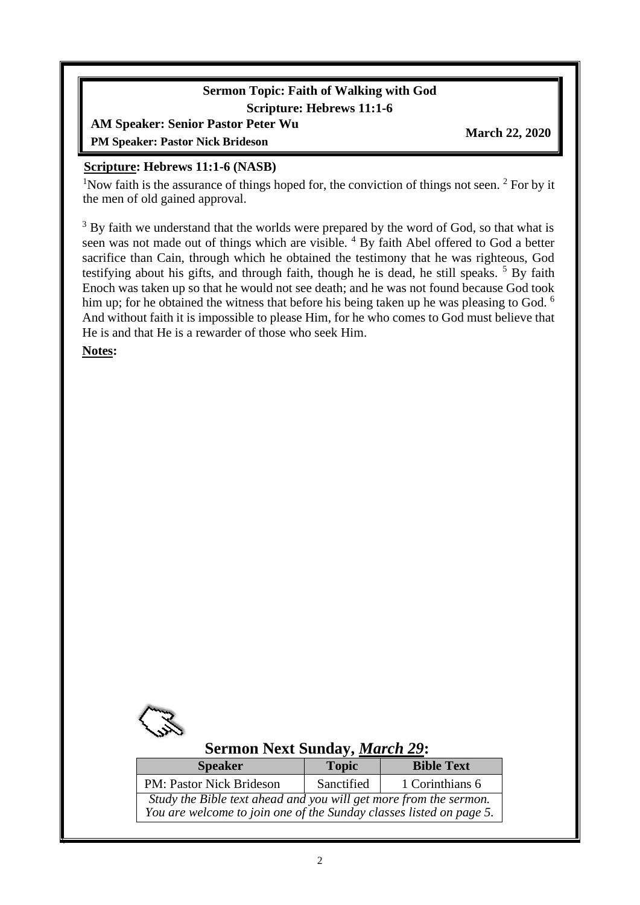#### **Sermon Topic: Faith of Walking with God Scripture: Hebrews 11:1-6**

# **AM Speaker: Senior Pastor Peter Wu March 22, 2020**

#### **Scripture: Hebrews 11:1-6 (NASB)**

**PM Speaker: Pastor Nick Brideson**

<sup>1</sup>Now faith is the assurance of things hoped for, the conviction of things not seen.  $2$  For by it the men of old gained approval.

<sup>3</sup> By faith we understand that the worlds were prepared by the word of God, so that what is seen was not made out of things which are visible. <sup>4</sup> By faith Abel offered to God a better sacrifice than Cain, through which he obtained the testimony that he was righteous, God testifying about his gifts, and through faith, though he is dead, he still speaks. <sup>5</sup> By faith Enoch was taken up so that he would not see death; and he was not found because God took him up; for he obtained the witness that before his being taken up he was pleasing to God. <sup>6</sup> And without faith it is impossible to please Him, for he who comes to God must believe that He is and that He is a rewarder of those who seek Him.

**Notes:**



 $\overline{\phantom{a}}$ 

## **Sermon Next Sunday,** *March 29***:**

| <b>Speaker</b>                                                                                                                           | <b>Topic</b> | <b>Bible Text</b> |
|------------------------------------------------------------------------------------------------------------------------------------------|--------------|-------------------|
| PM: Pastor Nick Brideson                                                                                                                 | Sanctified   | 1 Corinthians 6   |
| Study the Bible text ahead and you will get more from the sermon.<br>You are welcome to join one of the Sunday classes listed on page 5. |              |                   |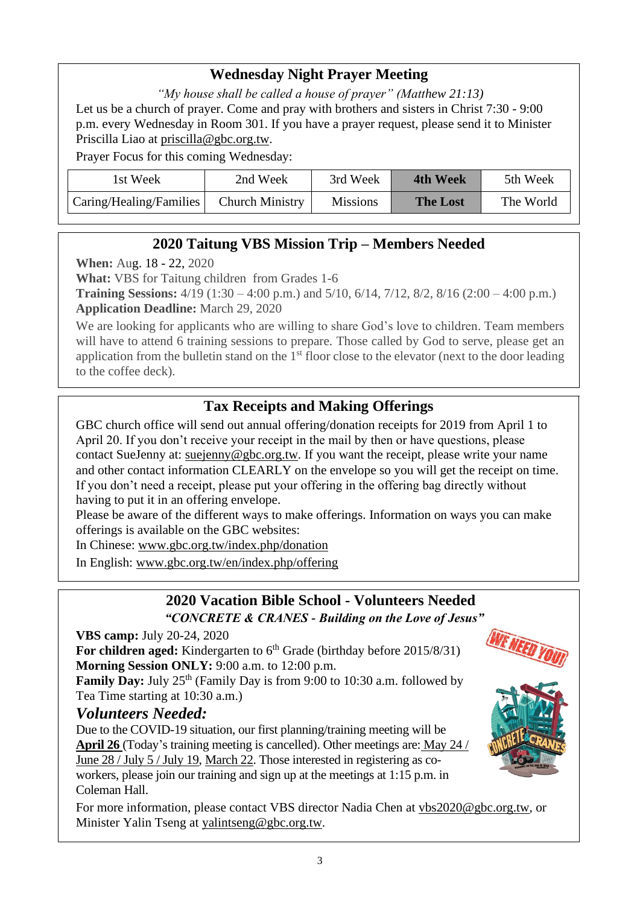## **Wednesday Night Prayer Meeting**

*"My house shall be called a house of prayer" (Matthew 21:13)* Let us be a church of prayer. Come and pray with brothers and sisters in Christ 7:30 - 9:00 p.m. every Wednesday in Room 301. If you have a prayer request, please send it to Minister Priscilla Liao at [priscilla@gbc.org.tw.](mailto:priscilla@gbc.org.tw)

Prayer Focus for this coming Wednesday:

| 1st Week                  | 2nd Week               | 3rd Week        | 4th Week        | 5th Week  |
|---------------------------|------------------------|-----------------|-----------------|-----------|
| ' Caring/Healing/Families | <b>Church Ministry</b> | <b>Missions</b> | <b>The Lost</b> | The World |

## **2020 Taitung VBS Mission Trip – Members Needed**

**When:** Aug. 18 - 22, 2020

**What:** VBS for Taitung children from Grades 1-6

**Training Sessions:** 4/19 (1:30 – 4:00 p.m.) and 5/10, 6/14, 7/12, 8/2, 8/16 (2:00 – 4:00 p.m.) **Application Deadline:** March 29, 2020

We are looking for applicants who are willing to share God's love to children. Team members will have to attend 6 training sessions to prepare. Those called by God to serve, please get an application from the bulletin stand on the  $1<sup>st</sup>$  floor close to the elevator (next to the door leading to the coffee deck).

## **Tax Receipts and Making Offerings**

GBC church office will send out annual offering/donation receipts for 2019 from April 1 to April 20. If you don't receive your receipt in the mail by then or have questions, please contact SueJenny at: [suejenny@gbc.org.tw.](mailto:suejenny@gbc.org.tw) If you want the receipt, please write your name and other contact information CLEARLY on the envelope so you will get the receipt on time. If you don't need a receipt, please put your offering in the offering bag directly without having to put it in an offering envelope.

Please be aware of the different ways to make offerings. Information on ways you can make offerings is available on the GBC websites:

In Chinese: www.gbc.org.tw/index.php/donation

In English: [www.gbc.org.tw/en/index.php/offering](http://www.gbc.org.tw/en/index.php/offering/)



workers, please join our training and sign up at the meetings at 1:15 p.m. in Coleman Hall.

For more information, please contact VBS director Nadia Chen at [vbs2020@gbc.org.tw,](mailto:vbs2020@gbc.org.tw) or Minister Yalin Tseng at [yalintseng@gbc.org.tw.](mailto:yalintseng@gbc.org.tw)

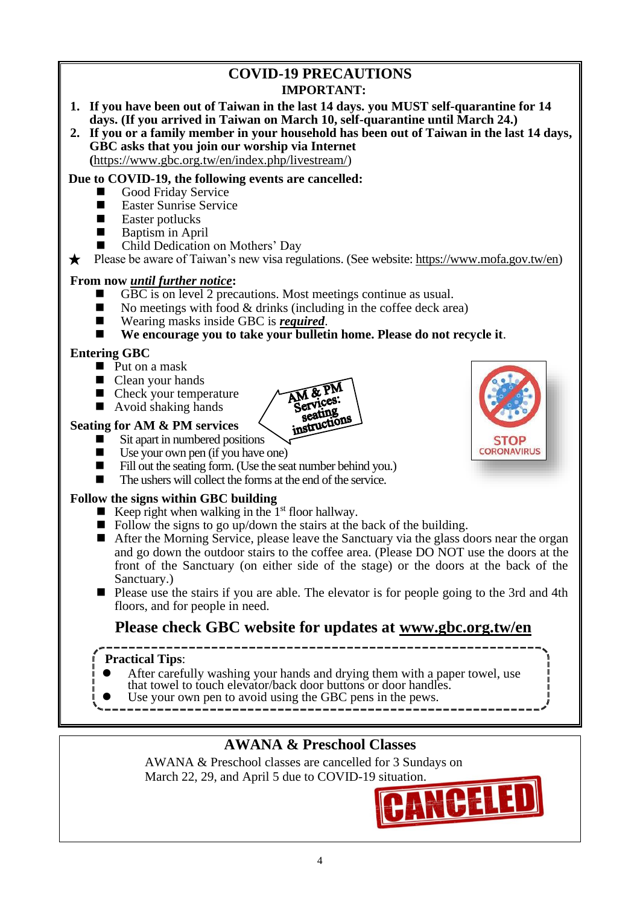#### **COVID-19 PRECAUTIONS IMPORTANT:**

- **1. If you have been out of Taiwan in the last 14 days. you MUST self-quarantine for 14 days. (If you arrived in Taiwan on March 10, self-quarantine until March 24.)**
- **2. If you or a family member in your household has been out of Taiwan in the last 14 days, GBC asks that you join our worship via Internet**

**(**[https://www.gbc.org.tw/en/index.php/livestream/\)](https://www.gbc.org.tw/en/index.php/livestream/)

#### **Due to COVID-19, the following events are cancelled:**

- Good Friday Service<br>■ Easter Sunrise Servic
- Easter Sunrise Service
- Easter potlucks
- Baptism in April
- Child Dedication on Mothers' Day

★ Please be aware of Taiwan's new visa regulations. (See website: [https://www.mofa.gov.tw/en\)](https://www.mofa.gov.tw/en/)

#### **From now** *until further notice***:**

- GBC is on level 2 precautions. Most meetings continue as usual.
- $\blacksquare$  No meetings with food & drinks (including in the coffee deck area)
- Wearing masks inside GBC is *required*.
- We encourage you to take your bullet the home. Please do not recycle it.

M & PN Services: seating seatiliens<br>instructions

#### **Entering GBC**

- Put on a mask
- Clean your hands
- Check your temperature
- $\blacksquare$  Avoid shaking hands

#### **Seating for AM & PM services**

- $\blacksquare$  Sit apart in numbered positions
- Use your own pen (if you have one)
- Fill out the seating form. (Use the seat number behind you.)
- The ushers will collect the forms at the end of the service.

#### **Follow the signs within GBC building**

- **E** Keep right when walking in the  $I<sup>st</sup>$  floor hallway.
- Follow the signs to go up/down the stairs at the back of the building.
- After the Morning Service, please leave the Sanctuary via the glass doors near the organ and go down the outdoor stairs to the coffee area. (Please DO NOT use the doors at the front of the Sanctuary (on either side of the stage) or the doors at the back of the Sanctuary.)
- Please use the stairs if you are able. The elevator is for people going to the 3rd and 4th floors, and for people in need.

## **Please check GBC website for updates at www.gbc.org.tw/en**

#### **Practical Tips**:

- ⚫ After carefully washing your hands and drying them with a paper towel, use
- that towel to touch elevator/back door buttons or door handles. Use your own pen to avoid using the GBC pens in the pews.
- 

## **AWANA & Preschool Classes**

AWANA & Preschool classes are cancelled for 3 Sundays on March 22, 29, and April 5 due to COVID-19 situation.



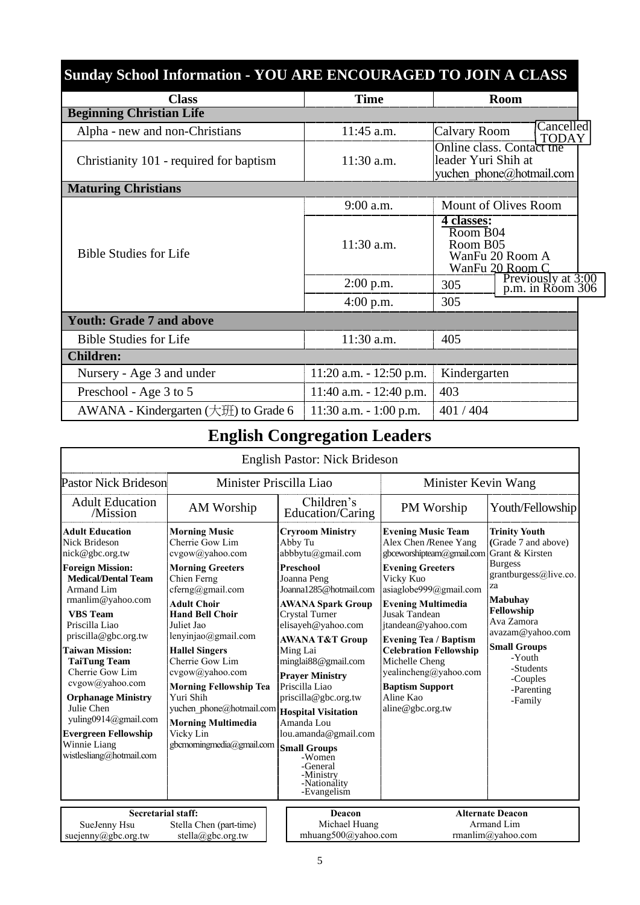| <b>Sunday School Information - YOU ARE ENCOURAGED TO JOIN A CLASS</b> |                            |                                           |                                                       |
|-----------------------------------------------------------------------|----------------------------|-------------------------------------------|-------------------------------------------------------|
| <b>Class</b>                                                          | <b>Time</b>                |                                           | <b>Room</b>                                           |
| <b>Beginning Christian Life</b>                                       |                            |                                           |                                                       |
| Alpha - new and non-Christians                                        | 11:45 a.m.                 | <b>Calvary Room</b>                       | Cancelled<br><b>TODAY</b>                             |
| Christianity 101 - required for baptism                               | 11:30 a.m.                 | leader Yuri Shih at                       | Online class. Contact the<br>yuchen phone@hotmail.com |
| <b>Maturing Christians</b>                                            |                            |                                           |                                                       |
|                                                                       | $9:00$ a.m.                |                                           | Mount of Olives Room                                  |
| <b>Bible Studies for Life</b>                                         | 11:30 a.m.                 | <u>4 classes:</u><br>Room B04<br>Room B05 | WanFu 20 Room A<br>WanFu 20 Room C                    |
|                                                                       | $2:00$ p.m.                | 305                                       | Previously at 3:00<br>p.m. in Room 306                |
|                                                                       | $4:00$ p.m.                | 305                                       |                                                       |
| <b>Youth: Grade 7 and above</b>                                       |                            |                                           |                                                       |
| <b>Bible Studies for Life</b>                                         | 11:30 a.m.                 | 405                                       |                                                       |
| <b>Children:</b>                                                      |                            |                                           |                                                       |
| Nursery - Age 3 and under                                             | $11:20$ a.m. $-12:50$ p.m. | Kindergarten                              |                                                       |
| Preschool - Age 3 to 5                                                | 11:40 a.m. - 12:40 p.m.    | 403                                       |                                                       |
| AWANA - Kindergarten (大班) to Grade 6                                  | $11:30$ a.m. $-1:00$ p.m.  | 401/404                                   |                                                       |

# **English Congregation Leaders**

|                                                                                                                                                                                                                                                                                                                                                                                                                                                                    |                                                                                                                                                                                                                                                                                                                                                                                                                               | English Pastor: Nick Brideson                                                                                                                                                                                                                                                                                                                                                                                                                                                              |                                                                                                                                                                                                                                                                                                                                                                                                 |                                                                                                                                                                                                                                                                      |
|--------------------------------------------------------------------------------------------------------------------------------------------------------------------------------------------------------------------------------------------------------------------------------------------------------------------------------------------------------------------------------------------------------------------------------------------------------------------|-------------------------------------------------------------------------------------------------------------------------------------------------------------------------------------------------------------------------------------------------------------------------------------------------------------------------------------------------------------------------------------------------------------------------------|--------------------------------------------------------------------------------------------------------------------------------------------------------------------------------------------------------------------------------------------------------------------------------------------------------------------------------------------------------------------------------------------------------------------------------------------------------------------------------------------|-------------------------------------------------------------------------------------------------------------------------------------------------------------------------------------------------------------------------------------------------------------------------------------------------------------------------------------------------------------------------------------------------|----------------------------------------------------------------------------------------------------------------------------------------------------------------------------------------------------------------------------------------------------------------------|
| <b>Pastor Nick Brideson</b>                                                                                                                                                                                                                                                                                                                                                                                                                                        | Minister Priscilla Liao                                                                                                                                                                                                                                                                                                                                                                                                       |                                                                                                                                                                                                                                                                                                                                                                                                                                                                                            | Minister Kevin Wang                                                                                                                                                                                                                                                                                                                                                                             |                                                                                                                                                                                                                                                                      |
| <b>Adult Education</b><br>/Mission                                                                                                                                                                                                                                                                                                                                                                                                                                 | AM Worship                                                                                                                                                                                                                                                                                                                                                                                                                    | Children's<br>Education/Caring                                                                                                                                                                                                                                                                                                                                                                                                                                                             | PM Worship                                                                                                                                                                                                                                                                                                                                                                                      | Youth/Fellowship                                                                                                                                                                                                                                                     |
| <b>Adult Education</b><br><b>Nick Brideson</b><br>nick@gbc.org.tw<br><b>Foreign Mission:</b><br><b>Medical/Dental Team</b><br>Armand Lim<br>$r$ manlim@yahoo.com<br><b>VBS</b> Team<br>Priscilla Liao<br>priscilla@gbc.org.tw<br><b>Taiwan Mission:</b><br><b>TaiTung Team</b><br>Cherrie Gow Lim<br>cvgow@yahoo.com<br><b>Orphanage Ministry</b><br>Julie Chen<br>yuling0914@gmail.com<br><b>Evergreen Fellowship</b><br>Winnie Liang<br>wistlesliang@hotmail.com | <b>Morning Music</b><br>Cherrie Gow Lim<br>cvgow@yahoo.com<br><b>Morning Greeters</b><br>Chien Ferng<br>cferng@gmail.com<br><b>Adult Choir</b><br><b>Hand Bell Choir</b><br>Juliet Jao<br>lenyinjao@gmail.com<br><b>Hallel Singers</b><br>Cherrie Gow Lim<br>cvgow@yahoo.com<br><b>Morning Fellowship Tea</b><br>Yuri Shih<br>yuchen phone@hotmail.com<br><b>Morning Multimedia</b><br>Vicky Lin<br>gbcmorningmedia@gmail.com | <b>Cryroom Ministry</b><br>Abby Tu<br>abbbytu@gmail.com<br><b>Preschool</b><br>Joanna Peng<br>Joanna1285@hotmail.com<br><b>AWANA Spark Group</b><br>Crystal Turner<br>elisayeh@yahoo.com<br><b>AWANA T&amp;T Group</b><br>Ming Lai<br>minglai88@gmail.com<br><b>Prayer Ministry</b><br>Priscilla Liao<br>priscilla@gbc.org.tw<br><b>Hospital Visitation</b><br>Amanda Lou<br>lou.amanda@gmail.com<br><b>Small Groups</b><br>-Women<br>-General<br>-Ministry<br>-Nationality<br>-Evangelism | <b>Evening Music Team</b><br>Alex Chen /Renee Yang<br>gbceworshipteam@gmail.com<br><b>Evening Greeters</b><br>Vicky Kuo<br>asiaglobe999@gmail.com<br><b>Evening Multimedia</b><br>Jusak Tandean<br>jtandean@yahoo.com<br><b>Evening Tea / Baptism</b><br><b>Celebration Fellowship</b><br>Michelle Cheng<br>$v$ ealincheng@yahoo.com<br><b>Baptism Support</b><br>Aline Kao<br>aline@gbc.org.tw | <b>Trinity Youth</b><br>(Grade 7 and above)<br>Grant & Kirsten<br><b>Burgess</b><br>grantburgess@live.co.<br>za<br><b>Mabuhay</b><br>Fellowship<br>Ava Zamora<br>avazam@yahoo.com<br><b>Small Groups</b><br>-Youth<br>-Students<br>-Couples<br>-Parenting<br>-Family |
| Secretarial staff:<br>SueJenny Hsu<br>suejenny@gbc.org.tw                                                                                                                                                                                                                                                                                                                                                                                                          | Stella Chen (part-time)<br>stella@gbc.org.tw                                                                                                                                                                                                                                                                                                                                                                                  | Deacon<br>Michael Huang<br>mhuang500@yahoo.com                                                                                                                                                                                                                                                                                                                                                                                                                                             |                                                                                                                                                                                                                                                                                                                                                                                                 | <b>Alternate Deacon</b><br>Armand Lim<br>rmanlim@yahoo.com                                                                                                                                                                                                           |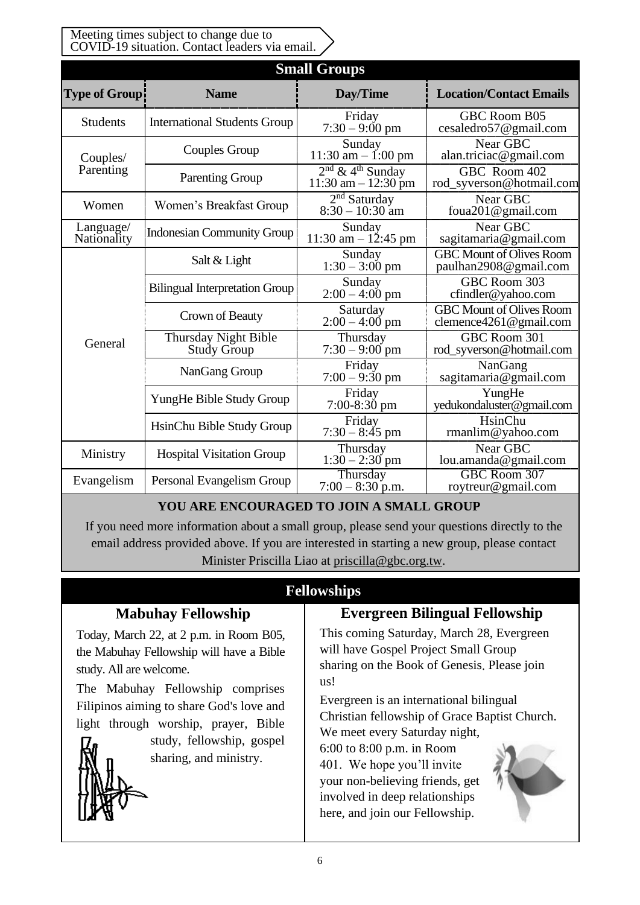Meeting times subject to change due to COVID-19 situation. Contact leaders via email.

|                          |                                            | <b>Small Groups</b>                                      |                                                           |
|--------------------------|--------------------------------------------|----------------------------------------------------------|-----------------------------------------------------------|
| <b>Type of Group!</b>    | <b>Name</b>                                | Day/Time                                                 | <b>Location/Contact Emails</b>                            |
| <b>Students</b>          | <b>International Students Group</b>        | Friday<br>$7:30 - 9:00 \text{ pm}$                       | GBC Room B05<br>cesaledro57@gmail.com                     |
| Couples/                 | <b>Couples Group</b>                       | Sunday<br>$11:30$ am $- 1:00$ pm                         | Near GBC<br>alan.triciac@gmail.com                        |
| Parenting                | <b>Parenting Group</b>                     | $2nd$ & 4 <sup>th</sup> Sunday<br>$11:30$ am $-12:30$ pm | GBC Room 402<br>rod_syverson@hotmail.com                  |
| Women                    | Women's Breakfast Group                    | $2nd$ Saturday<br>$8:30 - 10:30$ am                      | Near GBC<br>foua201@gmail.com                             |
| Language/<br>Nationality | <b>Indonesian Community Group</b>          | Sunday<br>11:30 am $- 12:45$ pm                          | Near GBC<br>sagitamaria@gmail.com                         |
|                          | Salt & Light                               | Sunday<br>$1:30 - 3:00$ pm                               | <b>GBC Mount of Olives Room</b><br>paulhan2908@gmail.com  |
|                          | <b>Bilingual Interpretation Group</b>      | Sunday<br>$2:00 - 4:00$ pm                               | GBC Room 303<br>cfindler@yahoo.com                        |
|                          | Crown of Beauty                            | Saturday<br>$2:00 - 4:00$ pm                             | <b>GBC Mount of Olives Room</b><br>clemence4261@gmail.com |
| General                  | Thursday Night Bible<br><b>Study Group</b> | Thursday<br>$7:30 - 9:00$ pm                             | GBC Room 301<br>rod_syverson@hotmail.com                  |
|                          | NanGang Group                              | Friday<br>$7:00 - 9:30$ pm                               | NanGang<br>sagitamaria@gmail.com                          |
|                          | YungHe Bible Study Group                   | Friday<br>$7:00-8:30$ pm                                 | YungHe<br>yedukondaluster@gmail.com                       |
|                          | HsinChu Bible Study Group                  | Friday<br>$7:30 - 8:45$ pm                               | HsinChu<br>rmanlim@yahoo.com                              |
| Ministry                 | <b>Hospital Visitation Group</b>           | Thursday<br>$1:30 - 2:30$ pm                             | Near GBC<br>lou.amanda@gmail.com                          |
| Evangelism               | Personal Evangelism Group                  | Thursday<br>$7:00 - 8:30$ p.m.                           | GBC Room 307<br>roytreur@gmail.com                        |

## **YOU ARE ENCOURAGED TO JOIN A SMALL GROUP**

If you need more information about a small group, please send your questions directly to the email address provided above. If you are interested in starting a new group, please contact Minister Priscilla Liao at [priscilla@gbc.org.tw.](mailto:priscilla@gbc.org.tw)

## **Fellowships**

## **Mabuhay Fellowship**

Today, March 22, at 2 p.m. in Room B05, the Mabuhay Fellowship will have a Bible study. All are welcome.

The Mabuhay Fellowship comprises Filipinos aiming to share God's love and light through worship, prayer, Bible

study, fellowship, gospel sharing, and ministry.

## **Evergreen Bilingual Fellowship**

This coming Saturday, March 28, Evergreen will have Gospel Project Small Group sharing on the Book of Genesis. Please join us!

Evergreen is an international bilingual Christian fellowship of Grace Baptist Church.

We meet every Saturday night, 6:00 to 8:00 p.m. in Room 401. We hope you'll invite your non-believing friends, get involved in deep relationships here, and join our Fellowship.